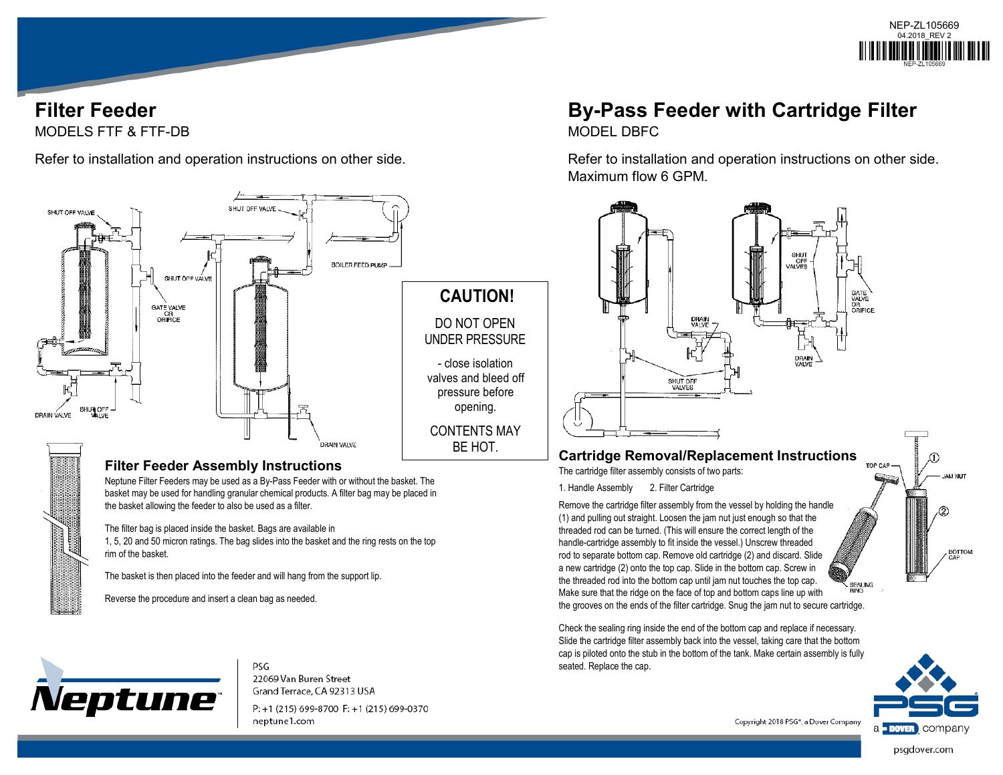

## **Filter Feeder** MODELS FTF & FTF-DB

Refer to installation and operation instructions on other side.



### **Filter Feeder Assembly Instructions**

Neptune Filter Feeders may be used as a By-Pass Feeder with or without the basket. The basket may be used for handling granular chemical products. A filter bag may be placed in the basket allowing the feeder to also be used as a filter.

The filter bag is placed inside the basket. Bags are available in 1, 5, 20 and 50 micron ratings. The bag slides into the basket and the ring rests on the top rim of the basket.

The basket is then placed into the feeder and will hang from the support lip.

Reverse the procedure and insert a clean bag as needed.



**PSG** 22069 Van Buren Street Grand Terrace, CA 92313 USA

P: +1 (215) 699-8700 F: +1 (215) 699-0370 neptune1.com

# **By-Pass Feeder with Cartridge Filter**

MODEL DBFC

Refer to installation and operation instructions on other side. Maximum flow 6 GPM.



#### **Cartridge Removal/Replacement Instructions FOR CAR**

The cartridge filter assembly consists of two parts:

1. Handle Assembly 2. Filter Cartridge

Remove the cartridge filter assembly from the vessel by holding the handle (1) and pulling out straight. Loosen the jam nut just enough so that the threaded rod can be turned. (This will ensure the correct length of the handle-cartridge assembly to fit inside the vessel.) Unscrew threaded rod to separate bottom cap. Remove old cartridge (2) and discard. Slide a new cartridge (2) onto the top cap. Slide in the bottom cap. Screw in the threaded rod into the bottom cap until jam nut touches the top cap. **SEALING** Make sure that the ridge on the face of top and bottom caps line up with the grooves on the ends of the filter cartridge. Snug the jam nut to secure cartridge.

Check the sealing ring inside the end of the bottom cap and replace if necessary. Slide the cartridge filter assembly back into the vessel, taking care that the bottom cap is piloted onto the stub in the bottom of the tank. Make certain assembly is fully seated. Replace the cap.



Copyright 2018 PSG<sup>®</sup>, a Dover Company